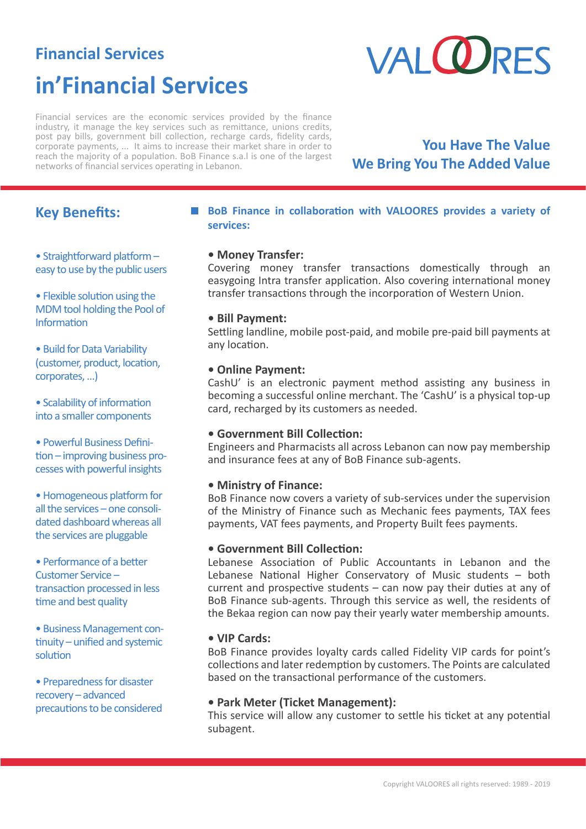# **Financial Services in'Financial Services**



Financial services are the economic services provided by the finance industry, it manage the key services such as remittance, unions credits, post pay bills, government bill collection, recharge cards, fidelity cards, corporate payments, ... It aims to increase their market share in order to reach the majority of a population. BoB Finance s.a.l is one of the largest networks of financial services operating in Lebanon.

# **You Have The Value We Bring You The Added Value**

## **Key Benefits:**

• Straightforward platform – easy to use by the public users

• Flexible solution using the MDM tool holding the Pool of Information

• Build for Data Variability (customer, product, location, corporates, …)

• Scalability of information into a smaller components

• Powerful Business Definition – improving business processes with powerful insights

• Homogeneous platform for all the services – one consolidated dashboard whereas all the services are pluggable

• Performance of a better Customer Service – transaction processed in less time and best quality

• Business Management continuity – unified and systemic solution

• Preparedness for disaster recovery – advanced precautions to be considered

### **BoB Finance in collaboration with VALOORES provides a variety of services:**

### **• Money Transfer:**

Covering money transfer transactions domestically through an easygoing Intra transfer application. Also covering international money transfer transactions through the incorporation of Western Union.

### **• Bill Payment:**

Settling landline, mobile post-paid, and mobile pre-paid bill payments at any location.

### **• Online Payment:**

CashU' is an electronic payment method assisting any business in becoming a successful online merchant. The 'CashU' is a physical top-up card, recharged by its customers as needed.

### **• Government Bill Collection:**

Engineers and Pharmacists all across Lebanon can now pay membership and insurance fees at any of BoB Finance sub-agents.

### **• Ministry of Finance:**

BoB Finance now covers a variety of sub-services under the supervision of the Ministry of Finance such as Mechanic fees payments, TAX fees payments, VAT fees payments, and Property Built fees payments.

### **• Government Bill Collection:**

Lebanese Association of Public Accountants in Lebanon and the Lebanese National Higher Conservatory of Music students – both current and prospective students – can now pay their duties at any of BoB Finance sub-agents. Through this service as well, the residents of the Bekaa region can now pay their yearly water membership amounts.

### **• VIP Cards:**

BoB Finance provides loyalty cards called Fidelity VIP cards for point's collections and later redemption by customers. The Points are calculated based on the transactional performance of the customers.

### **• Park Meter (Ticket Management):**

This service will allow any customer to settle his ticket at any potential subagent.